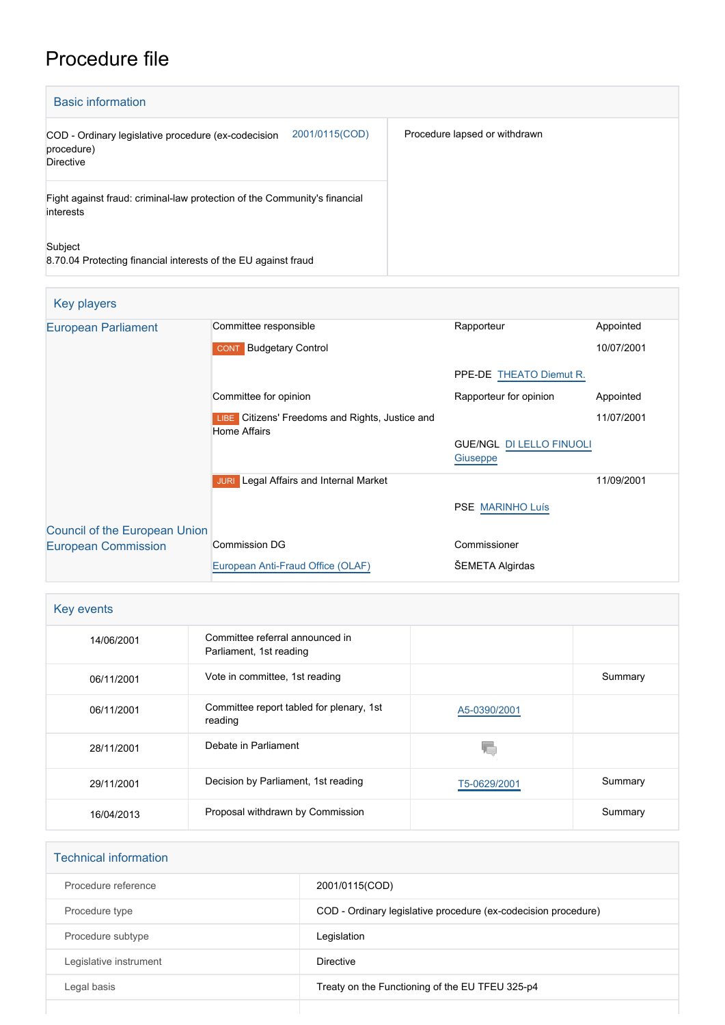# Procedure file

| <b>Basic information</b>                                                                         |                               |  |  |
|--------------------------------------------------------------------------------------------------|-------------------------------|--|--|
| 2001/0115(COD)<br>COD - Ordinary legislative procedure (ex-codecision<br>procedure)<br>Directive | Procedure lapsed or withdrawn |  |  |
| Fight against fraud: criminal-law protection of the Community's financial<br>interests           |                               |  |  |
| Subject<br>8.70.04 Protecting financial interests of the EU against fraud                        |                               |  |  |

| Key players                          |                                                                        |                                             |            |
|--------------------------------------|------------------------------------------------------------------------|---------------------------------------------|------------|
| <b>European Parliament</b>           | Committee responsible                                                  | Rapporteur                                  | Appointed  |
|                                      | <b>CONT</b> Budgetary Control                                          |                                             | 10/07/2001 |
|                                      |                                                                        | PPE-DE THEATO Diemut R.                     |            |
|                                      | Committee for opinion                                                  | Rapporteur for opinion                      | Appointed  |
|                                      | LIBE Citizens' Freedoms and Rights, Justice and<br><b>Home Affairs</b> |                                             | 11/07/2001 |
|                                      |                                                                        | <b>GUE/NGL DI LELLO FINUOLI</b><br>Giuseppe |            |
|                                      | Legal Affairs and Internal Market<br><b>JURI</b>                       |                                             | 11/09/2001 |
|                                      |                                                                        | <b>PSE MARINHO Luís</b>                     |            |
| <b>Council of the European Union</b> |                                                                        |                                             |            |
| <b>European Commission</b>           | Commission DG                                                          | Commissioner                                |            |
|                                      | European Anti-Fraud Office (OLAF)                                      | <b>SEMETA Algirdas</b>                      |            |

| Key events |                                                            |              |         |
|------------|------------------------------------------------------------|--------------|---------|
| 14/06/2001 | Committee referral announced in<br>Parliament, 1st reading |              |         |
| 06/11/2001 | Vote in committee, 1st reading                             |              | Summary |
| 06/11/2001 | Committee report tabled for plenary, 1st<br>reading        | A5-0390/2001 |         |
| 28/11/2001 | Debate in Parliament                                       |              |         |
| 29/11/2001 | Decision by Parliament, 1st reading                        | T5-0629/2001 | Summary |
| 16/04/2013 | Proposal withdrawn by Commission                           |              | Summary |

| <b>Technical information</b> |                                                                |
|------------------------------|----------------------------------------------------------------|
| Procedure reference          | 2001/0115(COD)                                                 |
| Procedure type               | COD - Ordinary legislative procedure (ex-codecision procedure) |
| Procedure subtype            | Legislation                                                    |
| Legislative instrument       | <b>Directive</b>                                               |
| Legal basis                  | Treaty on the Functioning of the EU TFEU 325-p4                |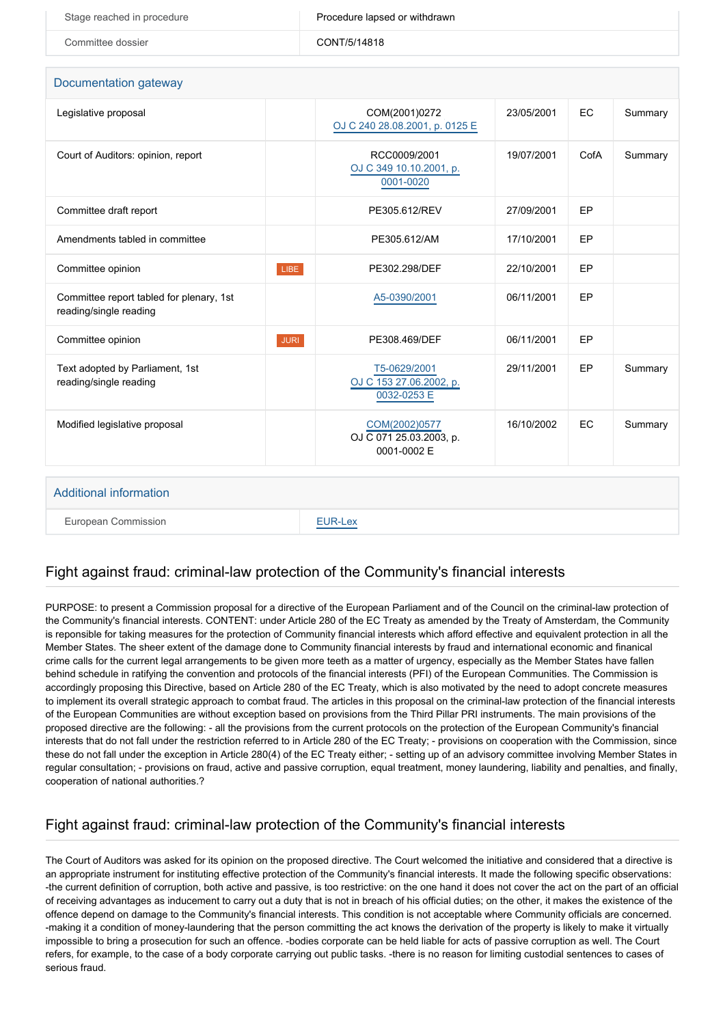| Stage reached in procedure | Procedure lapsed or withdrawn |
|----------------------------|-------------------------------|
| Committee dossier          | CONT/5/14818                  |

#### Documentation gateway

| Legislative proposal                                               |             | COM(2001)0272<br>OJ C 240 28.08.2001, p. 0125 E         | 23/05/2001 | EC   | Summary |
|--------------------------------------------------------------------|-------------|---------------------------------------------------------|------------|------|---------|
| Court of Auditors: opinion, report                                 |             | RCC0009/2001<br>OJ C 349 10.10.2001, p.<br>0001-0020    | 19/07/2001 | CofA | Summary |
| Committee draft report                                             |             | PE305.612/REV                                           | 27/09/2001 | EP   |         |
| Amendments tabled in committee                                     |             | PE305.612/AM                                            | 17/10/2001 | EP   |         |
| Committee opinion                                                  | LIBE        | PE302.298/DEF                                           | 22/10/2001 | EP   |         |
| Committee report tabled for plenary, 1st<br>reading/single reading |             | A5-0390/2001                                            | 06/11/2001 | EP   |         |
| Committee opinion                                                  | <b>JURI</b> | PE308.469/DEF                                           | 06/11/2001 | EP   |         |
| Text adopted by Parliament, 1st<br>reading/single reading          |             | T5-0629/2001<br>OJ C 153 27.06.2002, p.<br>0032-0253 E  | 29/11/2001 | EP   | Summary |
| Modified legislative proposal                                      |             | COM(2002)0577<br>OJ C 071 25.03.2003, p.<br>0001-0002 E | 16/10/2002 | EC   | Summary |
|                                                                    |             |                                                         |            |      |         |
| Additional information                                             |             |                                                         |            |      |         |

#### Additional information

European Commission **[EUR-Lex](http://ec.europa.eu/prelex/liste_resultats.cfm?CL=en&ReqId=0&DocType=COD&DocYear=2001&DocNum=0115)** 

#### Fight against fraud: criminal-law protection of the Community's financial interests

PURPOSE: to present a Commission proposal for a directive of the European Parliament and of the Council on the criminal-law protection of the Community's financial interests. CONTENT: under Article 280 of the EC Treaty as amended by the Treaty of Amsterdam, the Community is reponsible for taking measures for the protection of Community financial interests which afford effective and equivalent protection in all the Member States. The sheer extent of the damage done to Community financial interests by fraud and international economic and finanical crime calls for the current legal arrangements to be given more teeth as a matter of urgency, especially as the Member States have fallen behind schedule in ratifying the convention and protocols of the financial interests (PFI) of the European Communities. The Commission is accordingly proposing this Directive, based on Article 280 of the EC Treaty, which is also motivated by the need to adopt concrete measures to implement its overall strategic approach to combat fraud. The articles in this proposal on the criminal-law protection of the financial interests of the European Communities are without exception based on provisions from the Third Pillar PRI instruments. The main provisions of the proposed directive are the following: - all the provisions from the current protocols on the protection of the European Community's financial interests that do not fall under the restriction referred to in Article 280 of the EC Treaty; - provisions on cooperation with the Commission, since these do not fall under the exception in Article 280(4) of the EC Treaty either; - setting up of an advisory committee involving Member States in regular consultation; - provisions on fraud, active and passive corruption, equal treatment, money laundering, liability and penalties, and finally, cooperation of national authorities.?

## Fight against fraud: criminal-law protection of the Community's financial interests

The Court of Auditors was asked for its opinion on the proposed directive. The Court welcomed the initiative and considered that a directive is an appropriate instrument for instituting effective protection of the Community's financial interests. It made the following specific observations: -the current definition of corruption, both active and passive, is too restrictive: on the one hand it does not cover the act on the part of an official of receiving advantages as inducement to carry out a duty that is not in breach of his official duties; on the other, it makes the existence of the offence depend on damage to the Community's financial interests. This condition is not acceptable where Community officials are concerned. -making it a condition of money-laundering that the person committing the act knows the derivation of the property is likely to make it virtually impossible to bring a prosecution for such an offence. -bodies corporate can be held liable for acts of passive corruption as well. The Court refers, for example, to the case of a body corporate carrying out public tasks. -there is no reason for limiting custodial sentences to cases of serious fraud.